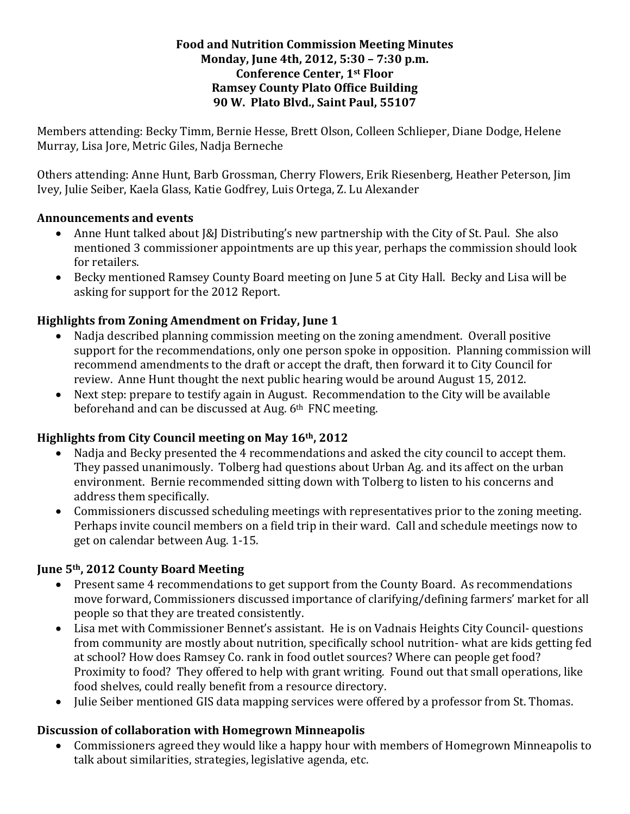#### **Food and Nutrition Commission Meeting Minutes Monday, June 4th, 2012, 5:30 – 7:30 p.m. Conference Center, 1st Floor Ramsey County Plato Office Building 90 W. Plato Blvd., Saint Paul, 55107**

Members attending: Becky Timm, Bernie Hesse, Brett Olson, Colleen Schlieper, Diane Dodge, Helene Murray, Lisa Jore, Metric Giles, Nadja Berneche

Others attending: Anne Hunt, Barb Grossman, Cherry Flowers, Erik Riesenberg, Heather Peterson, Jim Ivey, Julie Seiber, Kaela Glass, Katie Godfrey, Luis Ortega, Z. Lu Alexander

## **Announcements and events**

- Anne Hunt talked about [&] Distributing's new partnership with the City of St. Paul. She also mentioned 3 commissioner appointments are up this year, perhaps the commission should look for retailers.
- Becky mentioned Ramsey County Board meeting on June 5 at City Hall. Becky and Lisa will be asking for support for the 2012 Report.

# **Highlights from Zoning Amendment on Friday, June 1**

- Nadja described planning commission meeting on the zoning amendment. Overall positive support for the recommendations, only one person spoke in opposition. Planning commission will recommend amendments to the draft or accept the draft, then forward it to City Council for review. Anne Hunt thought the next public hearing would be around August 15, 2012.
- Next step: prepare to testify again in August. Recommendation to the City will be available beforehand and can be discussed at Aug. 6th FNC meeting.

## **Highlights from City Council meeting on May 16th, 2012**

- Nadja and Becky presented the 4 recommendations and asked the city council to accept them. They passed unanimously. Tolberg had questions about Urban Ag. and its affect on the urban environment. Bernie recommended sitting down with Tolberg to listen to his concerns and address them specifically.
- Commissioners discussed scheduling meetings with representatives prior to the zoning meeting. Perhaps invite council members on a field trip in their ward. Call and schedule meetings now to get on calendar between Aug. 1‐15.

## **June 5th, 2012 County Board Meeting**

- Present same 4 recommendations to get support from the County Board. As recommendations move forward, Commissioners discussed importance of clarifying/defining farmers' market for all people so that they are treated consistently.
- Lisa met with Commissioner Bennet's assistant. He is on Vadnais Heights City Council‐ questions from community are mostly about nutrition, specifically school nutrition- what are kids getting fed at school? How does Ramsey Co. rank in food outlet sources? Where can people get food? Proximity to food? They offered to help with grant writing. Found out that small operations, like food shelves, could really benefit from a resource directory.
- Julie Seiber mentioned GIS data mapping services were offered by a professor from St. Thomas.

## **Discussion of collaboration with Homegrown Minneapolis**

 Commissioners agreed they would like a happy hour with members of Homegrown Minneapolis to talk about similarities, strategies, legislative agenda, etc.